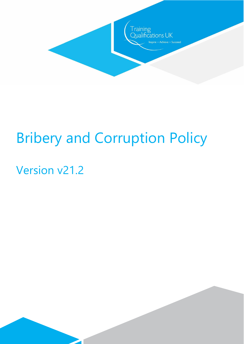

# Bribery and Corruption Policy

# Version v21.2

 $\overline{\phantom{a}}$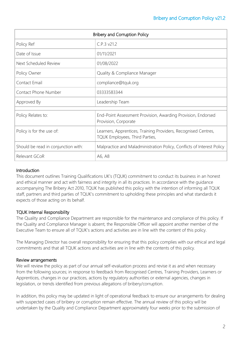| <b>Bribery and Corruption Policy</b> |                                                                                                  |
|--------------------------------------|--------------------------------------------------------------------------------------------------|
| Policy Ref                           | C.P.3 v21.2                                                                                      |
| Date of Issue                        | 01/11/2021                                                                                       |
| Next Scheduled Review                | 01/08/2022                                                                                       |
| Policy Owner                         | Quality & Compliance Manager                                                                     |
| Contact Email                        | compliance@tquk.org                                                                              |
| Contact Phone Number                 | 03333583344                                                                                      |
| Approved By                          | Leadership Team                                                                                  |
| Policy Relates to:                   | End-Point Assessment Provision, Awarding Provision, Endorsed<br>Provision, Corporate             |
| Policy is for the use of:            | Learners, Apprentices, Training Providers, Recognised Centres,<br>TQUK Employees, Third Parties, |
| Should be read in conjunction with:  | Malpractice and Maladministration Policy, Conflicts of Interest Policy                           |
| Relevant GCoR                        | A6, A8                                                                                           |

## **Introduction**

This document outlines Training Qualifications UK's (TQUK) commitment to conduct its business in an honest and ethical manner and act with fairness and integrity in all its practices. In accordance with the guidance accompanying The Bribery Act 2010, TQUK has published this policy with the intention of informing all TQUK staff, partners and third parties of TQUK's commitment to upholding these principles and what standards it expects of those acting on its behalf.

# TQUK Internal Responsibility

The Quality and Compliance Department are responsible for the maintenance and compliance of this policy. If the Quality and Compliance Manager is absent, the Responsible Officer will appoint another member of the Executive Team to ensure all of TQUK's actions and activities are in line with the content of this policy.

The Managing Director has overall responsibility for ensuring that this policy complies with our ethical and legal commitments and that all TQUK actions and activities are in line with the contents of this policy.

# Review arrangements

We will review the policy as part of our annual self-evaluation process and revise it as and when necessary from the following sources; in response to feedback from Recognised Centres, Training Providers, Learners or Apprentices, changes in our practices, actions by regulatory authorities or external agencies, changes in legislation, or trends identified from previous allegations of bribery/corruption.

In addition, this policy may be updated in light of operational feedback to ensure our arrangements for dealing with suspected cases of bribery or corruption remain effective. The annual review of this policy will be undertaken by the Quality and Compliance Department approximately four weeks prior to the submission of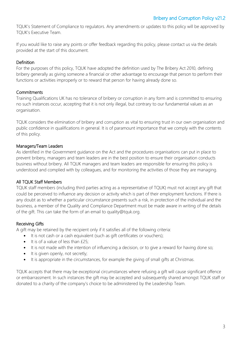TQUK's Statement of Compliance to regulators. Any amendments or updates to this policy will be approved by TQUK's Executive Team.

If you would like to raise any points or offer feedback regarding this policy, please contact us via the details provided at the start of this document.

## **Definition**

For the purposes of this policy, TQUK have adopted the definition used by The Bribery Act 2010, defining bribery generally as giving someone a financial or other advantage to encourage that person to perform their functions or activities improperly or to reward that person for having already done so.

# **Commitments**

Training Qualifications UK has no tolerance of bribery or corruption in any form and is committed to ensuring no such instances occur, accepting that it is not only illegal, but contrary to our fundamental values as an organisation.

TQUK considers the elimination of bribery and corruption as vital to ensuring trust in our own organisation and public confidence in qualifications in general. It is of paramount importance that we comply with the contents of this policy.

# Managers/Team Leaders

As identified in the Government guidance on the Act and the procedures organisations can put in place to prevent bribery, managers and team leaders are in the best position to ensure their organisation conducts business without bribery. All TQUK managers and team leaders are responsible for ensuring this policy is understood and complied with by colleagues, and for monitoring the activities of those they are managing.

# All TQUK Staff Members

TQUK staff members (including third parties acting as a representative of TQUK) must not accept any gift that could be perceived to influence any decision or activity which is part of their employment functions. If there is any doubt as to whether a particular circumstance presents such a risk, in protection of the individual and the business, a member of the Quality and Compliance Department must be made aware in writing of the details of the gift. This can take the form of an email to quality@tquk.org.

## Receiving Gifts

A gift may be retained by the recipient only if it satisfies all of the following criteria:

- It is not cash or a cash equivalent (such as gift certificates or vouchers);
- It is of a value of less than £25;
- It is not made with the intention of influencing a decision, or to give a reward for having done so;
- It is given openly, not secretly;
- It is appropriate in the circumstances, for example the giving of small gifts at Christmas.

TQUK accepts that there may be exceptional circumstances where refusing a gift will cause significant offence or embarrassment. In such instances the gift may be accepted and subsequently shared amongst TQUK staff or donated to a charity of the company's choice to be administered by the Leadership Team.